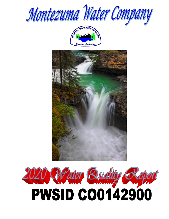





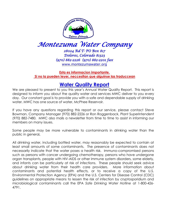

# *Montezuma Water Company*

*28024 Rd T- PO Box 817 Dolores, Colorado 81323 (970) 882-2226 (970) 882-2201 fax*  [www.montezumawater.org](http://www.montezumawater.org/)

**Esta es informacion importante. Si no la pueden leyer, neccesitan que alguinse las traduccean**

### **Water Quality Report**

We are pleased to present to you this year's Annual Water Quality Report. This report is designed to inform you about the quality water and services MWC deliver to you every day. Our constant goal is to provide you with a safe and dependable supply of drinking water. MWC has one source of water, McPhee Reservoir.

If you have any questions regarding this report or our service, please contact Steve Bowman, Company Manager (970) 882-2226 or Ron Roggenback, Plant Superintendent (970) 882-7480. MWC also mails a newsletter from time to time to assist in informing our members on many issues.

Some people may be more vulnerable to contaminants in drinking water than the public in general**.**

All drinking water, including bottled water, may reasonably be expected to contain at least small amounts of some contaminants. The presence of contaminants does not necessarily indicate that the water poses a health risk. Immuno-compromised persons such as persons with cancer undergoing chemotherapy, persons who have undergone organ transplants, people with HIV-AIDS or other immune system disorders, some elderly, and infants can be particularly at risk of infections. These people should seek advice about drinking water from their health care providers. More information about contaminants and potential health effects, or to receive a copy of the U.S. Environmental Protection Agency (EPA) and the U.S. Centers for Disease Control (CDC) guidelines on appropriate means to lessen the risk of infection by cryptosporidium and microbiological contaminants call the EPA *Safe Drinking Water Hotline* at 1-800-426- 4791.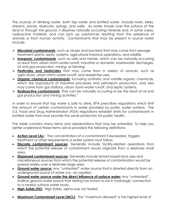The sources of drinking water, both tap water and bottled water, include rivers, lakes, streams, ponds, reservoirs, springs, and wells. As water travels over the surface of the land or through the ground, it dissolves naturally occurring minerals and, in some cases, radioactive material, and can pick up substances resulting from the presence of animals or from human activity. Contaminants that may be present in source water include:

- ➢ *Microbial contaminants,* such as viruses and bacteria that may come from sewage treatment plants, septic systems, agricultural livestock operations, and wildlife*.*
- ➢ *Inorganic contaminants,* such as salts and metals, which can be naturally-occurring or result from urban storm-water runoff, industrial or domestic wastewater discharges, oil and gas production, mining, or farming.
- ➢ *Pesticides and herbicides* that may come from a variety of sources, such as agriculture, urban storm-water runoff, and residential uses.
- ➢ *Organic chemical contaminants,* including synthetic and volatile organic chemicals, which are byproducts of industrial processes and petroleum production, and also may come from gas stations, urban storm-water runoff, and septic systems.
- ➢ *Radioactive contaminants,* that can be naturally occurring or be the result of oil and gas production and mining activities."

In order to ensure that tap water is safe to drink, EPA prescribes regulations which limit the amount of certain contaminants in water provided by public water systems. The U.S. Food and Drug Administration (FDA) regulations establish limits for contaminants in bottled water that must provide the same protection for public health.

The table contains many terms and abbreviations that may be unfamiliar. To help you better understand these terms we've provided the following definitions:

- **Action Level (AL**): The concentration of a contaminant if exceeded, triggers treatment or other requirements a water system must follow.
- **Discrete contaminant sources**: Generally include facility-related operations from which the potential release of contaminant would originate from a relatively small area.
- **Dispersed contaminant sources***:* Generally include broad based land uses and miscellaneous sources from which the potential release of contamination would be spread widely over a relatively large area.
- **Ground water source:** Any "untreated" water source that is diverted directly from an underground source of water (i.e., an aquifer).
- **Ground water source under the direct influence of surface water:** Any "untreated", shallow ground water source that testing has shown to be in hydrologic connection to a nearby surface water body.
- **High Solids (HS)**: High Solids, alpha was not tested.
- **Maximum Contaminant Level (MCL)**: The "maximum allowed" is the highest level of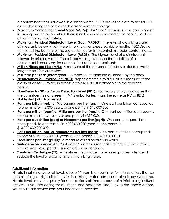a contaminant that is allowed in drinking water. MCLs are set as close to the MCLGs as feasible using the best available treatment technology.

- • **Maximum Contaminant Level Goal (MCLG)**: The "goal" is the level of a contaminant in drinking water, below which there is no known or expected risk to health. MCLGs allow for a margin of safety.
- **Maximum Residual Disinfectant Level Goal (MRDLG)**: The level of a drinking water disinfectant, below which there is no known or expected risk to health. MRDLGs do not reflect the benefits of the use of disinfectants to control microbial contaminants.
- **Maximum Residual Disinfectant Level (MRDL):** The highest level of a disinfectant allowed in drinking water. There is convincing evidence that addition of a disinfectant is necessary for control of microbial contaminants.
- **Million Fibers per Liter (MFL):** A measure of the presence of asbestos fibers in water longer than 10 micrometers.
- **Millirems per Year (mrem/year**): A measure of radiation absorbed by the body.
- **Nephelometric Turbidity Unit (NTU):** Nephelometric turbidity unit is a measure of the clarity of water. Turbidity in excess of five NTU is just noticeable to the average person.
- **Non-Detects (ND) or Below Detection Level (BDL):** Laboratory analysis indicates that the constituent is not present. ("<" Symbol for less than, the same as ND or BDL)
- **Not Tested (NT): Not tested.**
- **Parts per billion (ppb) or Micrograms per liter (µg/l)**: One part per billion corresponds to one minute in 2,000 years, or one penny in \$10,000,000.
- **Parts per million (ppm) or Milligrams per liter (mg/l):** One part per million corresponds to one minute in two years or one penny in \$10,000.
- **Parts per quadrillion (ppq) or Picograms per liter (pg/l):** One part per quadrillion corresponds to one minute in 2,000,000,000 years or one penny in \$10,000,000,000,000.
- **Parts per trillion (ppt) or Nanograms per liter (ng/l):** One part per trillion corresponds to one minute in 2,000,000 years, or one penny in \$10,000,000,000.
- **PicoCuries per Liter (pCi/l):** A measure of radioactivity in water.
- **Surface water source:** Any "untreated" water source that is diverted directly from a stream, river, lake, pond or similar surface water body.
- **Treatment Technique (TT):** A treatment technique is a required process intended to reduce the level of a contaminant in drinking water.

### **Additional Information**

Nitrate in drinking water at levels above 10 ppm is a health risk for infants of less than six months of age. High nitrate levels in drinking water can cause blue baby syndrome. Nitrate levels may rise quickly for short periods-of-time because of rainfall or agricultural activity. If you are caring for an infant, and detected nitrate levels are above 5 ppm, you should ask advice from your health care provider.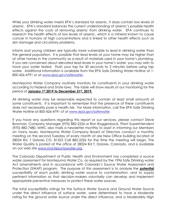While your drinking water meets EPA's standard for arsenic, it does contain low levels of arsenic. EPA's standard balances the current understanding of arsenic's possible health effects against the costs of removing arsenic from drinking water. EPA continues to research the health effects of low levels of arsenic, which is a mineral known to cause cancer in humans at high concentrations and is linked to other health effects such as skin damage and circulatory problems.

Infants and young children are typically more vulnerable to lead in drinking water than the general population. It is possible that lead levels at your home may be higher than at other homes in the community as a result of materials used in your home's plumbing. If you are concerned about elevated lead levels in your home's water, you may wish to have your water tested. Flush your tap for 30 seconds to 2 minutes before using tap water. Additional information is available from the EPA *Safe Drinking Water Hotline* at 1- 800-426-4791 or at [www.epa.gov/safewater.](http://www.epa.gov/safewater)

Montezuma Water Company routinely monitors for constituents in your drinking water according to Federal and State laws. The table will show results of our monitoring for the period of **January 1st 2019 to December 31st, 2019.**

All drinking water may be reasonably expected to contain at least small amounts of some constituents. It is important to remember that the presence of these constituents does not necessarily pose a health risk. For More information, call the EPA Safe Drinking Water Hotline at 800-426-4791 of at [www.epa.gov/safewater.](http://www.epa.gov/safewater)

If you have any questions regarding this report or our services, please contact Steve Bowman, Company Manager (970) 882-2226 or Ron Roggenback, Plant Superintendent (970) 882-7480. MWC also mails a newsletter monthly to assist in informing our Members on many issues. Montezuma Water Company Board of Directors conduct a monthly meeting on the second Tuesday of every month at are New Office building located at 28024 Rd. T Dolores CO. 81323 Call 882-2226 for the time the meeting will begin. The Water Quality is posted at the office at 28024 Rd T, Dolores, Colorado, and is available on our web site [www.montezumawater.org.](http://www.montezumawater.org/)

The Colorado Department of Public Health and Environment has completed a source water assessment for Montezuma Water Co, as required by the 1996 Safe Drinking water Act amendments and in accordance with Colorado's Source Water Assessment and Protection (SWAP) program. The purpose of this assessment is to analyze the **potential** susceptibility of each public drinking water source to contamination, and to supply pertinent information so that decision-makers voluntarily can develop and implement appropriate preventive measures to protect these water sources.

The total susceptibility ratings for the Surface Water Source and Ground Water Source under the direct influence of surface water, were determined to have a Moderate rating for the ground water source under the direct influence, and a Moderately High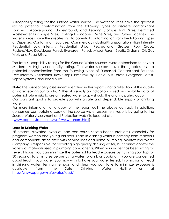susceptibility rating for the surface water source. The water sources have the greatest risk to potential contamination from the following types of discrete contaminant sources. Aboveground, Underground, and Leaking Storage Tank Sites. Permitted Wastewater Discharge Sites, Existing/Abandoned Mine Sites, and Other Facilities. The water sources have the greatest risk to potential contamination from the following types of Dispersed Contaminant Sources. Commercial/Industrial/Transportation, High Intensity Residential, Low Intensity Residential, Urban Recreational Grasses, Row Crops, Pasture/Hay, Deciduous Forest, Evergreen Forest, Mixed Forest, Septic Systems, Oil/Gas Well, and Road Miles.

The total susceptibility ratings for the Ground Water Sources, were determined to have a Moderately High susceptibility rating. The water sources have the greatest risk to potential contamination from the following types of Dispersed Contaminant Sources. Low Intensity Residential, Row Crops, Pasture/Hay, Deciduous Forest, Evergreen Forest, Septic Systems, and Road Miles.

**Note:** The susceptibility assessment identified in this report is not a reflection of the quality of water leaving our facility. Rather, it is simply an indication based on available data, of potential future risks to are untreated water supply should the unanticipated occur. Our constant goal is to provide you with a safe and dependable supply of drinking water.

For more information or a copy of the report call the above contact. In addition, consumers can obtain a copy of the source water assessment reports by going to the Source Water Assessment and Protection web site located at :

[\(www.cdphe.state.co.us/wq/sw/swaphom.html\)](http://www.cdphe.state.co.us/wq/sw/swaphom.html)

#### **Lead in Drinking Water**

"If present, elevated levels of lead can cause serious health problems, especially for pregnant women and young children. Lead in drinking water is primarily from materials and components associated with service lines and home plumbing. Montezuma Water Company is responsible for providing high quality drinking water, but cannot control the variety of materials used in plumbing components. When your water has been sitting for several hours, you can minimize the potential for lead exposure by flushing your tap for 30 seconds to 2 minutes before using water to drink or cooking. If you are concerned about lead in your water, you may wish to have your water tested. Information on lead in drinking water, testing methods, and steps you can take to minimize exposure is available from the Safe Drinking Water Hotline or at http://www.epa.gov/safewater/lead."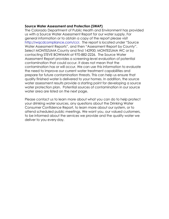#### **Source Water Assessment and Protection (SWAP)**

The Colorado Department of Public Health and Environment has provided us with a Source Water Assessment Report for our water supply. For general information or to obtain a copy of the report please visit [http://wqcdcompliance.com/ccr.](http://wqcdcompliance.com/ccr) The report is located under "Source Water Assessment Reports", and then "Assessment Report by County". Select MONTEZUMA County and find 142900; MONTEZUMA WC or by contacting STEVE BOWMAN at 970-882-2226. The Source Water Assessment Report provides a screening-level evaluation of potential contamination that could occur. It does not mean that the contamination has or will occur. We can use this information to evaluate the need to improve our current water treatment capabilities and prepare for future contamination threats. This can help us ensure that quality finished water is delivered to your homes. In addition, the source water assessment results provide a starting point for developing a source water protection plan. Potential sources of contamination in our source water area are listed on the next page.

Please contact us to learn more about what you can do to help protect your drinking water sources, any questions about the Drinking Water Consumer Confidence Report, to learn more about our system, or to attend scheduled public meetings. We want you, our valued customers, to be informed about the services we provide and the quality water we deliver to you every day.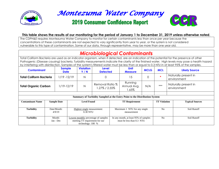

# Montezuma Water Company

# **2019 Consumer Confidence Report**



#### **This table shows the results of our monitoring for the period of January 1 to December 31, 2019 unless otherwise noted.**

The CDPH&E requires Montezuma Water Company to monitor for certain contaminants less than once per year because the concentrations of these contaminants are not expected to vary significantly from year to year, or the system is not considered vulnerable to this type of contamination. Some of our data, through representative, may be more than one year old.

### *Microbiological Contaminants*

Total Coliform Bacteria are used as an indicator organism, when if detected, are an indication of the potential for the presence of other Pathogenic (Disease causing) bacteria. Turbidity measurements indicate the clarity of the finished water. High levels may pose a health hazard by interfering with disinfection. Samples of the system's filtered water must be less than or equal to 0.3 NTU in at least 95% of the samples.

| <b>Contaminant</b>                                                         |  | <b>Sample</b><br><b>Date</b> |   | <b>Violation</b><br>Y/N                               | Level<br><b>Detected</b>             | <b>Unit</b><br><b>Measure</b> |                                                | <b>MCLG</b>                                 | <b>MCL</b>                          | <b>Likely Source</b>   |  |
|----------------------------------------------------------------------------|--|------------------------------|---|-------------------------------------------------------|--------------------------------------|-------------------------------|------------------------------------------------|---------------------------------------------|-------------------------------------|------------------------|--|
| $1/19 - 12/19$<br><b>Total Coliform Bacteria</b>                           |  |                              | N | 0                                                     |                                      | 15                            | 0                                              | $\frac{d\mathbf{r}}{d\mathbf{r}}$           | Naturally present in<br>environment |                        |  |
| <b>Total Organic Carbon</b>                                                |  | 1/19-12/19                   |   | Ν                                                     | Removal Ratio %<br>1.27% / 2.55%     |                               | Running<br>$***$<br>N/A<br>Annual Avg.<br>.65% |                                             | Naturally present in<br>environment |                        |  |
|                                                                            |  |                              |   |                                                       |                                      |                               |                                                |                                             |                                     |                        |  |
| Summary of Turbidity Sampled at the Entry Point to the Distribution System |  |                              |   |                                                       |                                      |                               |                                                |                                             |                                     |                        |  |
| <b>Contaminant Name</b>                                                    |  | <b>Sample Date</b>           |   | <b>Level Found</b>                                    |                                      | <b>TT Requirement</b>         |                                                |                                             | <b>TT Violation</b>                 | <b>Typical Sources</b> |  |
|                                                                            |  |                              |   |                                                       |                                      |                               |                                                |                                             |                                     |                        |  |
| <b>Turbidity</b>                                                           |  | Date/Month:                  |   | Highest single measurement:                           |                                      |                               | Maximum 1 NTU for any single                   |                                             | No                                  | Soil Runoff            |  |
|                                                                            |  | 4/9/19                       |   | 0.30 NTU                                              |                                      | measurement                   |                                                |                                             |                                     |                        |  |
| <b>Turbidity</b>                                                           |  | Month:                       |   |                                                       | Lowest monthly percentage of samples |                               |                                                | No<br>In any month, at least 95% of samples |                                     | Soil Runoff            |  |
|                                                                            |  | Jan - Dec                    |   | meeting TT requirement for our<br>technology: $100\%$ |                                      |                               | must be less than 0.3 NTU                      |                                             |                                     |                        |  |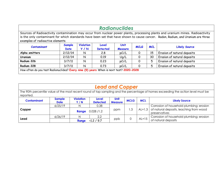| <b>Radionuclides</b>                                                                                                                                                                                                                                                                                   |                |                                |                          |                        |             |            |                             |  |  |  |
|--------------------------------------------------------------------------------------------------------------------------------------------------------------------------------------------------------------------------------------------------------------------------------------------------------|----------------|--------------------------------|--------------------------|------------------------|-------------|------------|-----------------------------|--|--|--|
| Sources of Radioactivity contamination may occur from nuclear power plants, processing plants and uranium mines. Radioactivity<br>is the only contaminant for which standards have been set that have shown to cause cancer. Radon, Radium, and Uranium are three<br>examples of radioactive elements. |                |                                |                          |                        |             |            |                             |  |  |  |
| <b>Contaminant</b>                                                                                                                                                                                                                                                                                     | Sample<br>Date | <b>Violation</b><br><b>Y/N</b> | Level<br><b>Detected</b> | <b>Unit</b><br>Measure | <b>MCLG</b> | <b>MCL</b> | <b>Likely Source</b>        |  |  |  |
| Alpha emitters                                                                                                                                                                                                                                                                                         | 2/12/14        | N                              | 2.8                      | pCi/L                  | 0           | 15         | Erosion of natural deposits |  |  |  |
| Uranium                                                                                                                                                                                                                                                                                                | 2/12/14        | N                              | 0.19                     | Uq/L                   | 0           | 30         | Erosion of natural deposits |  |  |  |
| Radium 226                                                                                                                                                                                                                                                                                             | 3/7/11         | N                              | 0.23                     | pCi/L                  | 0           | 5          | Erosion of natural deposits |  |  |  |
| 0.73<br>5<br>Erosion of natural deposits<br>Radium 228<br>3/7/11<br>N<br>pCi/L<br>0                                                                                                                                                                                                                    |                |                                |                          |                        |             |            |                             |  |  |  |
| How often do you test Radionuclides? Every nine (9) years When is next test? 2020-2028                                                                                                                                                                                                                 |                |                                |                          |                        |             |            |                             |  |  |  |

|  | <b>Lead and Copper</b> |  |  |  |
|--|------------------------|--|--|--|
|--|------------------------|--|--|--|

The 90th percentile value of the most recent round of tap sampling and the percentage of homes exceeding the action level must be reported.

| <b>Contaminant</b> | <b>Sample</b><br><b>Date</b> | <b>Violation</b><br>Y/N | <b>Level</b><br><b>Detected</b> | <b>Unit</b><br><b>Measure</b> | <b>MCLG</b> | <b>MCL</b> | <b>Likely Source</b>                                              |
|--------------------|------------------------------|-------------------------|---------------------------------|-------------------------------|-------------|------------|-------------------------------------------------------------------|
|                    | 6/25/19                      |                         | 0.38                            | ppm                           | l .3        |            | Corrosion of household plumbing; erosion                          |
| Copper             |                              | Range                   | 0.028 / 1.2                     |                               |             |            | $AL=1.3$ of natural deposits, leaching from wood<br>preservatives |
| Lead               | 6/26/19                      |                         | 2.2                             |                               |             |            | Corrosion of household plumbing; erosion                          |
|                    |                              | Range                   | $\langle 1.2 / 9.7 \rangle$     | ppb                           | 0           | $AL=15$    | of natural deposits                                               |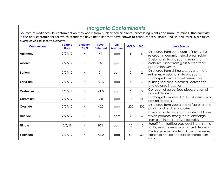### *Inorganic Contaminants*

Sources of Radioactivity contamination may occur from nuclear power plants, processing plants and uranium mines. Radioactivity is the only contaminant for which standards have been set that have shown to cause cancer. Radon, Radium, and Uranium are three examples of radioactive elements.

| <b>Contaminant</b> | <b>Sample</b><br><b>Date</b> | <b>Violation</b><br>Y/N | <b>Level</b><br><b>Detected</b> | <b>Unit</b><br><b>Measure</b> | <b>MCLG</b>     | <b>MCL</b>      | <b>Likely Source</b>                                                                                                          |
|--------------------|------------------------------|-------------------------|---------------------------------|-------------------------------|-----------------|-----------------|-------------------------------------------------------------------------------------------------------------------------------|
| Antimony           | 2/27/12                      | $\mathsf{N}$            | $\leq$                          | ppb                           | 6               | 6               | Discharge from petroleum refineries, fire<br>retardants, ceramics: electronics: solder                                        |
| <b>Arsenic</b>     | 2/27/12                      | $\mathsf{N}$            | $<$ 2                           | ppb                           | 0               | 10              | Erosion of natural deposits: runoff from<br>orchards, runoff from glass & electronic<br>production wastes                     |
| <b>Barium</b>      | 2/27/12                      | $\mathsf{N}$            | 0.1                             | ppm                           | $\overline{2}$  | $\overline{2}$  | Discharge from drilling wastes and metal<br>refineries, erosion of natural deposits                                           |
| <b>Beryllium</b>   | 2/27/12                      | $\mathsf{N}$            | < 0.3                           | ppb                           | 4               | $\overline{4}$  | Discharge from metal refineries, coal<br>burning factories, electrical, aerospace<br>and defense industries                   |
| Cadmium            | 2/27/12                      | $\mathsf{N}$            | 1.0                             | ppb                           | 5               | 5               | Corrosion of galvanized pipes, erosion of<br>natural deposits                                                                 |
| Chromium           | 2/27/12                      | $\mathsf{N}$            | 2.0                             | ppb                           | 100             | 100             | Discharge from steel & pulp mills; erosion of<br>natural deposits                                                             |
| Cyanide            | 2/27/12                      | $\mathsf{N}$            | $20$                            | ppb                           | 200             | 200             | Discharge form steel & metal factories and<br>plastic and fertilizer factories                                                |
| <b>Fluoride</b>    | 2/27/12                      | $\mathsf{N}$            | < 0.1                           | ppm                           | 4               | $\overline{4}$  | Erosion of natural deposits; water additives<br>which promote strong teeth, discharge<br>from aluminum & fertilizer factories |
| <b>Nitrate</b>     | 2/5/19                       | $\mathsf{N}$            | <b>BDL</b>                      | ppm                           | 10 <sup>°</sup> | 10 <sup>°</sup> | Runoff from fertilizer use; leaching of septic<br>tanks, sewage erosion of natural deposits                                   |
| Selenium           | 2/27/12                      | $\mathsf{N}$            | < 2.0                           | ppb                           | 50              | 50              | Discharge from petroleum & metal refineries,<br>erosion of natural deposits; discharge from<br>mines                          |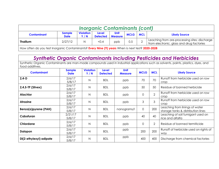| <b>Inorganic Contaminants (cont)</b> |                              |                         |                          |                               |      |            |                                                                                            |  |  |  |
|--------------------------------------|------------------------------|-------------------------|--------------------------|-------------------------------|------|------------|--------------------------------------------------------------------------------------------|--|--|--|
| <b>Contaminant</b>                   | <b>Sample</b><br><b>Date</b> | <b>Violation</b><br>Y/N | Level<br><b>Detected</b> | <b>Unit</b><br><b>Measure</b> | MCLG | <b>MCL</b> | <b>Likely Source</b>                                                                       |  |  |  |
| Thallium                             | 2/27/12                      | Ν                       | < 0.4                    | ppb                           | 0.5  |            | Leaching from ore-processing sites; discharge<br>from electronic, glass and drug factories |  |  |  |

How often do you test Inorganic Contaminants? **Every Nine (9) years** When is next test? **2020-2028**

## *Synthetic Organic Contaminants including Pesticides and Herbicides*

Synthetic Organic Contaminants are man-made compounds used in industrial applications such as solvents, paints, plastics, dyes, and food additives.

| <b>Contaminant</b>      | <b>Sample</b><br><b>Date</b> | <b>Violation</b><br>Y/N | <b>Level</b><br><b>Detected</b> | <b>Unit</b><br><b>Measure</b> | <b>MCLG</b>    | <b>MCL</b>     | <b>Likely Source</b>                                                 |
|-------------------------|------------------------------|-------------------------|---------------------------------|-------------------------------|----------------|----------------|----------------------------------------------------------------------|
| $2,4-D$                 | 2/6/17<br>5/8/17             | N                       | <b>BDL</b>                      | ppb                           | 70             | 70             | Runoff from herbicide used on row<br>crop                            |
| $2,4,5$ -TP (Silvex)    | 2/6/17<br>5/8/17             | N                       | <b>BDL</b>                      | ppb                           | 50             | 50             | Residue of banned herbicide                                          |
| <b>Alachlor</b>         | 2/6/17<br>5/8/17             | $\overline{\mathsf{N}}$ | <b>BDL</b>                      | ppb                           | 0              | $\overline{2}$ | Runoff from herbicide used on row<br>crop                            |
| <b>Atrazine</b>         | 2/6/17<br>5/8/17             | $\mathsf{N}$            | <b>BDL</b>                      | ppb                           | 3              | 3              | Runoff from herbicide used on row<br>crop                            |
| Benzo(a)pyrene (PAH)    | 2/6/17<br>5/8/17             | N                       | <b>BDL</b>                      | nanograms/l                   | $\overline{O}$ | 200            | Leaching from linings of water<br>storage tanks & distribution lines |
| Cabofuran               | 2/21/17<br>5/8/17            | N                       | <b>BDL</b>                      | ppb                           | 40             | 40             | Leaching of soil fumigant used on<br>rice and alfalfa                |
| Chlordane               | 2/6/17<br>5/8/17             | N                       | <b>BDL</b>                      | ppb                           | $\overline{0}$ | $\overline{2}$ | Residue of banned termiticide                                        |
| <b>Dalapon</b>          | 2/6/17<br>5/8/17             | N                       | <b>BDL</b>                      | ppb                           | 200            | 200            | Runoff of herbicide used on rights of<br>way                         |
| Di(2-ethylexyl) adipate | 2/6/17<br>5/8/17             | N                       | <b>BDL</b>                      | ppb                           | 400            | 400            | Discharge from chemical factories                                    |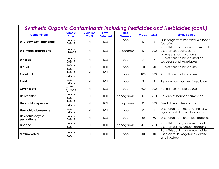| <b>Synthetic Organic Contaminants including Pesticides and Herbicides (cont.)</b> |                              |                         |                                 |                               |                |                |                                                                                            |  |  |  |  |
|-----------------------------------------------------------------------------------|------------------------------|-------------------------|---------------------------------|-------------------------------|----------------|----------------|--------------------------------------------------------------------------------------------|--|--|--|--|
| <b>Contaminant</b>                                                                | <b>Sample</b><br><b>Date</b> | <b>Violation</b><br>Y/N | <b>Level</b><br><b>Detected</b> | <b>Unit</b><br><b>Measure</b> | <b>MCLG</b>    | <b>MCL</b>     | <b>Likely Source</b>                                                                       |  |  |  |  |
| Di(2-ethylexyl) phthalate                                                         | 2/6/17<br>5/8/17             | N                       | <b>BDL</b>                      | ppb                           | $\Omega$       | 6              | Discharge from chemical & rubber<br>factories                                              |  |  |  |  |
| Dibrmochloropropane                                                               | 2/6/17<br>5/8/17             | N                       | <b>BDL</b>                      | nanograms/l                   | 0              | 200            | Runoff/leaching from soil fumigant<br>used on soybeans, cotton,<br>pineapples and orchards |  |  |  |  |
| <b>Dinoseb</b>                                                                    | 2/6/17<br>5/8/17             | N                       | <b>BDL</b>                      | ppb                           | 7              | $\overline{7}$ | Runoff from herbicide used on<br>soybeans and vegetables                                   |  |  |  |  |
| Diquat                                                                            | 2/6/17<br>5/8/17             | N                       | <b>BDL</b>                      | ppb                           | 20             | 20             | Runoff from herbicide use                                                                  |  |  |  |  |
| <b>Endothall</b>                                                                  | 2/6/17<br>5/8/17             | N                       | <b>BDL</b>                      | ppb                           | 100            | 100            | Runoff from herbicide use                                                                  |  |  |  |  |
| <b>Endrin</b>                                                                     | 2/6/17<br>5/8/17             | $\mathsf{N}$            | <b>BDL</b>                      | ppb                           | $\overline{2}$ | $\overline{2}$ | Residue from banned insecticide                                                            |  |  |  |  |
| Glyphosate                                                                        | 2/12/12<br>2/12/12           | $\mathsf{N}$            | <b>BDL</b>                      | ppb                           | 700            | 700            | Runoff from herbicide use                                                                  |  |  |  |  |
| Heptachlor                                                                        | 2/6/17<br>5/8/17             | $\mathsf{N}$            | <b>BDL</b>                      | nanograms/l                   | $\overline{O}$ | 400            | Residue of banned termiticide                                                              |  |  |  |  |
| <b>Heptachlor epoxide</b>                                                         | 2/6/17<br>5/8/17             | N                       | <b>BDL</b>                      | nanograms/l                   | 0              | 200            | Breakdown of heptachlor                                                                    |  |  |  |  |
| Hexachlorobenezene                                                                | 2/6/17<br>5/8/17             | N                       | <b>BDL</b>                      | ppb                           | 0              |                | Discharge from metal refineries &<br>agricultural chemical factories                       |  |  |  |  |
| Hexachlorocyclo-<br>pentadiene                                                    | 2/6/17<br>5/8/17             | N                       | <b>BDL</b>                      | ppb                           | 50             | 50             | Discharge from chemical factories                                                          |  |  |  |  |
| Lindane                                                                           | 2/6/17<br>5/8/17             | N                       | <b>BDL</b>                      | nanograms/l                   | 200            | 200            | Runoff/leaching from insecticide<br>used on cattle, lumber, gardens                        |  |  |  |  |
| Methoxychlor                                                                      | 2/6/17<br>5/8/17             | N                       | <b>BDL</b>                      | ppb                           | 40             | 40             | Runoff/leaching from insecticide<br>used on fruits, vegetables , alfalfa,<br>and livestock |  |  |  |  |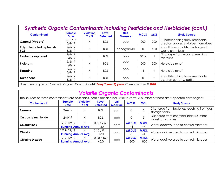| <b>Synthetic Organic Contaminants including Pesticides and Herbicides (cont.)</b> |                              |                         |                                 |                        |                |            |                                                                        |  |  |  |
|-----------------------------------------------------------------------------------|------------------------------|-------------------------|---------------------------------|------------------------|----------------|------------|------------------------------------------------------------------------|--|--|--|
| <b>Contaminant</b>                                                                | <b>Sample</b><br><b>Date</b> | <b>Violation</b><br>Y/N | <b>Level</b><br><b>Detected</b> | Unit<br><b>Measure</b> | <b>MCLG</b>    | <b>MCL</b> | <b>Likely Source</b>                                                   |  |  |  |
| Oxamyl (Vydate)                                                                   | 2/21/17<br>5/8/17            | N                       | BDI.                            | ppb                    | 200            | 200        | Runoff/leaching from insecticide<br>used on apples, potatoes, tomatoes |  |  |  |
| <b>Polychlorinated biphenyls</b><br><b>PCB</b>                                    | 2/6/17<br>5/8/17             | N                       | <b>BDL</b>                      | nanograms/l            | $\overline{O}$ | 500        | Runoff from landfills; discharge of<br>waste chemicals                 |  |  |  |
| Pentachlorophenol                                                                 | 2/6/17<br>5/8/17             | N                       | <b>BDL</b>                      | ppb                    | 0/12           |            | Discharge from wood preserving<br>factories                            |  |  |  |
| <b>Picloram</b>                                                                   | 2/6/17<br>5/8/17             | N                       | <b>BDL</b>                      | ppb                    | 500            | 500        | Herbicide runoff                                                       |  |  |  |
| <b>Simazine</b>                                                                   | 2/6/17<br>5/8/17             | N                       | <b>BDL</b>                      | ppb                    | 4              | 4          | Herbicide runoff                                                       |  |  |  |
| <b>Toxaphene</b>                                                                  | 2/6/17<br>5/8/17             | N                       | <b>BDL</b>                      | ppb                    | 0              | 3          | Runoff/leaching from insecticide<br>used on cotton & cattle            |  |  |  |

How often do you test Synthetic Organic Contaminants? **Every Three (3) years** When is next test? **2020**

| <b>Volatile Organic Contaminants</b>                                                                                               |                              |                         |                          |                        |              |             |                                                                 |  |  |  |  |
|------------------------------------------------------------------------------------------------------------------------------------|------------------------------|-------------------------|--------------------------|------------------------|--------------|-------------|-----------------------------------------------------------------|--|--|--|--|
| The sources of these contaminants are pesticides, herbicides and industrial solvents. A number of these are suspected carcinogens. |                              |                         |                          |                        |              |             |                                                                 |  |  |  |  |
| <b>Contaminant</b>                                                                                                                 | <b>Sample</b><br><b>Date</b> | <b>Violation</b><br>Y/N | Level<br><b>Detected</b> | Unit<br><b>Measure</b> | <b>MCLG</b>  | <b>MCL</b>  | <b>Likely Source</b>                                            |  |  |  |  |
| <b>Benzene</b>                                                                                                                     | 2/6/19                       | N                       | <b>BDL</b>               | ppb                    | $\Omega$     |             | Discharge from factories; leaching from gas<br>storage tanks    |  |  |  |  |
| Carbon tetrachloride                                                                                                               | 2/6/19                       | N                       | <b>BDL</b>               | ppb                    | 0            |             | Discharge from chemical plants & other<br>industrial activities |  |  |  |  |
| <b>Chloramines</b>                                                                                                                 | 1/19-12/19                   | N                       | 0.57/2.50                |                        | <b>MRDLG</b> | <b>MRDL</b> | Water additive used to control microbes                         |  |  |  |  |
|                                                                                                                                    | <b>Running Annual Avg</b>    |                         | 1.50                     | ppm                    | $=4$         | $=4$        |                                                                 |  |  |  |  |
|                                                                                                                                    | 1/19-12/19                   | N                       | 0.18 / 0.41              |                        | <b>MRDLG</b> | <b>MRDL</b> |                                                                 |  |  |  |  |
| Chlorite                                                                                                                           | <b>Running Annual Avg</b>    |                         | 0.30                     | ppm                    | =1           | $=1$        | Water additive used to control microbes                         |  |  |  |  |
| <b>Chlorine Dioxide</b>                                                                                                            | 1/19-12/19                   | N                       | 0.00 / 150               |                        | <b>MRDLG</b> | <b>MRDL</b> |                                                                 |  |  |  |  |
|                                                                                                                                    | <b>Running Annual Avg</b>    |                         | 40.0                     | ppb                    | $= 800$      | $= 800$     | Water additive used to control microbes                         |  |  |  |  |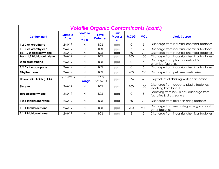| <b>Volatile Organic Contaminants (cont.)</b> |                              |                             |                                 |                       |                |                |                                                                      |  |  |  |  |
|----------------------------------------------|------------------------------|-----------------------------|---------------------------------|-----------------------|----------------|----------------|----------------------------------------------------------------------|--|--|--|--|
| <b>Contaminant</b>                           | <b>Sample</b><br><b>Date</b> | <b>Violatio</b><br>n<br>Y/N | <b>Level</b><br><b>Detected</b> | Unit<br><b>Measur</b> | <b>MCLG</b>    | <b>MCL</b>     | <b>Likely Source</b>                                                 |  |  |  |  |
| 1,2 Dichloroethane                           | 2/6/19                       | $\mathsf{N}$                | <b>BDL</b>                      | ppb                   | 0              | 5              | Discharge from industrial chemical factories                         |  |  |  |  |
| 1,1 Dichloroethylene                         | 2/6/19                       | $\mathsf{N}$                | <b>BDL</b>                      | ppb                   | $\overline{7}$ | $\overline{7}$ | Discharge from industrial chemical factories                         |  |  |  |  |
| cis 1,2 Dichloroethylene                     | 2/6/19                       | N                           | <b>BDL</b>                      | ppb                   | 70             | 70             | Discharge from industrial chemical factories                         |  |  |  |  |
| <b>Trans 1,2 Dichloroethylene</b>            | 2/6/19                       | $\mathsf{N}$                | <b>BDL</b>                      | ppb                   | 100            | 100            | Discharge from industrial chemical factories                         |  |  |  |  |
| <b>Dichloromethane</b>                       | 2/6/19                       | $\mathsf{N}$                | <b>BDL</b>                      | ppb                   | 0              | 5              | Discharge from pharmaceutical &<br>chemical factories                |  |  |  |  |
| 1,2 Dichloropropane                          | 2/6/19                       | $\mathsf{N}$                | <b>BDL</b>                      | ppb                   | 0              | 5              | Discharge from industrial chemical factories                         |  |  |  |  |
| Ethylbenzene                                 | 2/6/19                       | $\mathsf{N}$                | <b>BDL</b>                      | ppb                   | 700            | 700            | Discharge from petroleum refineries                                  |  |  |  |  |
| <b>Haloacetic Acids (HAA)</b>                | $/19-12/19$                  | $\mathsf{N}$<br>Range       | 26.0<br>8.2 / 45.0              | ppb                   | N/A            | 60             | By-product of drinking water disinfection                            |  |  |  |  |
| <b>Styrene</b>                               | 2/6/19                       | $\mathsf{N}$                | <b>BDL</b>                      | ppb                   | 100            | 100            | Discharge from rubber & plastic factories:<br>leaching from landfill |  |  |  |  |
| <b>Tetachloroethylene</b>                    | 2/6/19                       | $\mathsf{N}$                | <b>BDL</b>                      | ppb                   | 0              | 5              | Leaching from PVC pipes; discharge from<br>factories & dry cleaners  |  |  |  |  |
| 1,2,4 Trichlorobenzene                       | 2/6/19                       | $\mathsf{N}$                | <b>BDL</b>                      | ppb                   | 70             | 70             | Discharge from textile-finishing factories                           |  |  |  |  |
| 1,1,1 Trichloroehtane                        | 2/6/19                       | $\mathsf{N}$                | <b>BDL</b>                      | ppb                   | 200            | 200            | Discharge from metal degreasing sites and<br>other factories         |  |  |  |  |
| 1,1,2 Trichloroehtane                        | 2/6/19                       | $\mathsf{N}$                | <b>BDL</b>                      | ppb                   | 3              | 5              | Discharge from industrial chemical factories                         |  |  |  |  |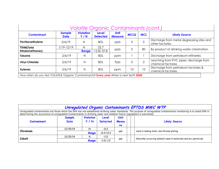| Volatile Organic Contaminants (cont.)                                                   |                              |                         |                          |                        |                |               |                                                               |  |  |  |
|-----------------------------------------------------------------------------------------|------------------------------|-------------------------|--------------------------|------------------------|----------------|---------------|---------------------------------------------------------------|--|--|--|
| <b>Contaminant</b>                                                                      | <b>Sample</b><br><b>Date</b> | <b>Violation</b><br>Y/N | Level<br><b>Detected</b> | Unit<br><b>Measure</b> | <b>MCLG</b>    | <b>MCL</b>    | <b>Likely Source</b>                                          |  |  |  |
| Trichloroethylene                                                                       | 2/6/19                       | N                       | <b>BDL</b>               | ppb                    | $\overline{0}$ | Ċ             | Discharge from metal degreasing sites and<br>other factories  |  |  |  |
| <b>TTHM(Total</b>                                                                       | /19-12/19                    | N                       | 22.7                     |                        | $\Omega$       | 80            |                                                               |  |  |  |
| trihalomethanes)                                                                        |                              | Range                   | 12.8/37.8                | ppb                    |                |               | By-product of drinking water chlorination                     |  |  |  |
| <b>Toluene</b>                                                                          | 2/6/19                       | Ν                       | <b>BDL</b>               | ppm                    |                |               | Discharge from petroleum refineries                           |  |  |  |
| <b>Vinyl Chloride</b>                                                                   | 2/6/19                       | N                       | <b>BDL</b>               | Ppb                    | $\Omega$       | $\mathcal{P}$ | Leaching from PVC pipes; discharge from<br>chemical factories |  |  |  |
| <b>Xylenes</b>                                                                          | 2/6/19                       | $\mathsf{N}$            | <b>BDL</b>               | ppm                    | 10             | 10            | Discharge from petroleum factories &<br>chemical factories    |  |  |  |
| How often do you test VOLATILE Organic Contaminants? Every year When is next test? 2020 |                              |                         |                          |                        |                |               |                                                               |  |  |  |

| Unregulated Organic Contaminants EPTDS MWC WTP                                                                                                                        |                                                                                                                                                                   |            |                       |              |  |                                                                  |  |  |  |  |
|-----------------------------------------------------------------------------------------------------------------------------------------------------------------------|-------------------------------------------------------------------------------------------------------------------------------------------------------------------|------------|-----------------------|--------------|--|------------------------------------------------------------------|--|--|--|--|
| Unregulated contaminants are those which the EPA has not established drinking water standards. The purpose of unregulated contaminants monitoring is to assist EPA in |                                                                                                                                                                   |            |                       |              |  |                                                                  |  |  |  |  |
|                                                                                                                                                                       | determining the occurrence of unregulated Contaminants in drinking water and whether future regulations is warranted.<br><b>Violation</b><br><b>Unit</b><br>Level |            |                       |              |  |                                                                  |  |  |  |  |
|                                                                                                                                                                       | <b>Sample</b>                                                                                                                                                     |            |                       |              |  |                                                                  |  |  |  |  |
| <b>Contaminant</b>                                                                                                                                                    | Date                                                                                                                                                              | <b>Y/N</b> | <b>Detected</b>       | <b>Measu</b> |  | <b>Likely Source</b>                                             |  |  |  |  |
|                                                                                                                                                                       |                                                                                                                                                                   |            |                       | re           |  |                                                                  |  |  |  |  |
| Chromium                                                                                                                                                              | 12/15/14                                                                                                                                                          | N          | ∢0.2                  |              |  |                                                                  |  |  |  |  |
|                                                                                                                                                                       |                                                                                                                                                                   | Range      | $<0.2/$ < 0.2         | ppb          |  | Used in making steel, and Chrome plating.                        |  |  |  |  |
| Cobalt                                                                                                                                                                | 12/15/14                                                                                                                                                          | N          | $\langle 1.0 \rangle$ |              |  |                                                                  |  |  |  |  |
|                                                                                                                                                                       |                                                                                                                                                                   | Range      | (1.0/1.0)             | ppb          |  | Naturally-occurring element used in medicines and as a germicide |  |  |  |  |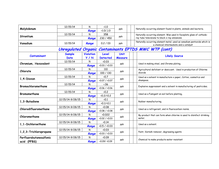| Molybdenum              | 12/15/14         | N                | $\langle 1.0$                                 | ppb     |  | Naturally-occurring element found in plants, animals and bacteria.                                               |  |  |
|-------------------------|------------------|------------------|-----------------------------------------------|---------|--|------------------------------------------------------------------------------------------------------------------|--|--|
|                         |                  | Range            | $\langle 1.0/1.0$                             |         |  |                                                                                                                  |  |  |
|                         | 12/15/14         | N                | 358                                           | ppb     |  | Naturally-occurring element; Was used in faceplate glass of cathode-                                             |  |  |
| Strontium               |                  | Range            | 230 / 450                                     |         |  | ray tube televisions to block x-ray emissions                                                                    |  |  |
| Vanadium                | 12/15/14         | Range            | 0.2 / 03                                      | ppb     |  | Naturally-occurring element metal; used as vanadium pentoxide which is<br>a chemical intermediate and a catalyst |  |  |
|                         |                  |                  |                                               |         |  | Unregulated Organic Contaminants EPTDS MWC WTP (cont)                                                            |  |  |
| <b>Contaminant</b>      | <b>Sample</b>    | <b>Violation</b> | Level                                         | Unit    |  |                                                                                                                  |  |  |
|                         | Date             | <b>Y/N</b>       | <b>Detected</b>                               | Measure |  | <b>Likely Source</b>                                                                                             |  |  |
|                         | 12/15/14         | N                | 0.03                                          |         |  |                                                                                                                  |  |  |
| Chromium, Hexavalent    |                  | Range            | $\langle 0.03 / \langle 0.03 \rangle$         | ppb     |  | Used in making steel, and Chrome plating.                                                                        |  |  |
|                         | 12/15/14         | N                | 110                                           |         |  | Agricultural defoliant or desiccant. Used in production of Chlorine                                              |  |  |
| Chlorate                |                  | Range            | 100 / 130                                     | ppb     |  | dioxide                                                                                                          |  |  |
| 1,4-Dioxan              | 12/15/14         | N                | 0.7                                           | ppb     |  | Used as a solvent in manufacture o paper, Cotton, cosmetics and                                                  |  |  |
|                         |                  | Range            | $\langle 0.07 / \langle 0.07 \rangle$         |         |  | shampoos.                                                                                                        |  |  |
| Bromochloramethane      | 12/15/14         | N                | $\cdot$ .06                                   | ppb     |  |                                                                                                                  |  |  |
|                         |                  | Range            | 0.06 / 0.06                                   |         |  | Explosive suppressant and a solvent in manufacturing of pesticides.                                              |  |  |
|                         | 12/15/14         | N                | 0.2                                           | ppb     |  |                                                                                                                  |  |  |
| Bromomethane            |                  | Range            | $<0.2/$ < 0.2                                 |         |  | Used as a Fumigant on soil before planting,                                                                      |  |  |
|                         | 12/15/14-9/28/15 | N                | $\langle 0.1$                                 | ppb     |  |                                                                                                                  |  |  |
| 1,3-Butadiene           |                  | Range            | $<0.1/$ < 0.1                                 |         |  | Rubber manufacturing.                                                                                            |  |  |
| Chlorodifluoromethane   | 12/15/14-9/28/15 | N                | 0.08                                          | ppb     |  |                                                                                                                  |  |  |
|                         |                  | Range            | 0.08 / 0.08                                   |         |  | Used as a refrigerant, and in fluorocarbon resins.                                                               |  |  |
| Chloromethane           | 12/15/14-9/28/15 | N                | 0.022                                         |         |  | By-product that can form when chlorine is used to disinfect drinking                                             |  |  |
|                         |                  | Range            | 0.02 / 0.03                                   | ppb     |  | water.                                                                                                           |  |  |
| 1, 1 - Dichloroethane   | 12/15/14-9/28/15 | $\mathsf{N}$     | <0.14                                         |         |  | Used as a solvent.                                                                                               |  |  |
|                         |                  | Range            | $\langle 0.5 / \langle 0.03$                  | ppb     |  |                                                                                                                  |  |  |
|                         | 12/15/14-9/28/15 | N                | 0.03                                          |         |  |                                                                                                                  |  |  |
| 1,2,3-Trichloropropane  |                  | Range            | $\langle 0.03 \rangle / \langle 0.03 \rangle$ | ppb     |  | Paint, Varnish remover, degreasing agents                                                                        |  |  |
| Perfluorobutanesulfonic | 12/15/14-9/28/15 | N                | 0.09                                          |         |  |                                                                                                                  |  |  |
| acid (PFBS)             |                  | Range            | 0.09 / 0.09                                   | ppb     |  | Chemical to make products water resistant                                                                        |  |  |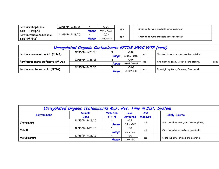| Perfluoroheptanoic           | 12/15/14-9/28/15 |       | 0.01                                  |     |     |  |                                           |  |
|------------------------------|------------------|-------|---------------------------------------|-----|-----|--|-------------------------------------------|--|
| (PFH <sub>pA</sub> )<br>acid |                  | Range | $\langle 0.01 / \langle 0.01 \rangle$ |     | ppb |  | Chemical to make products water resistant |  |
| PerfluOrohexanesulfonic      | 12/15/14-9/28/15 |       | 0.03                                  |     |     |  |                                           |  |
| acid (PFHxS)                 |                  | Range | $\langle 0.03 \times 0.03 \rangle$    | ppb |     |  | Chemical to make products water resistant |  |

| Unregulated Organic Contaminants EPTDS MWC WTP (cont) |                  |       |                        |     |  |                                                     |  |  |
|-------------------------------------------------------|------------------|-------|------------------------|-----|--|-----------------------------------------------------|--|--|
|                                                       | 12/15/14-9/28/15 | N     | $\langle 0.02 \rangle$ |     |  | Chemical to make products water resistant           |  |  |
| Perfluorononanoic acid (PFNA)                         |                  | Range | 0.02 / 0.02            | ppb |  |                                                     |  |  |
|                                                       | 12/15/14-9/28/15 | N     | 0.04                   |     |  | Fire-fighting foam, Circuit board etching.<br>acids |  |  |
| Perfluorooctane sulfonate (PFOS)                      |                  | Range | 0.04 / 0.04            | ppb |  |                                                     |  |  |
|                                                       | 12/15/14-9/28/15 | N     | 0.02                   |     |  | Fire-fighting foam, Cleaners, Floor polish.         |  |  |
| Perfluorooctanoic acid (PFOA)                         |                  | Range | $0.02 \times 0.02$     | ppb |  |                                                     |  |  |

|                    | Unregulated Organic Contaminants Max. Res. Time in Dist. System |                         |                                     |                 |  |                                           |
|--------------------|-----------------------------------------------------------------|-------------------------|-------------------------------------|-----------------|--|-------------------------------------------|
| <b>Contaminant</b> | Sample<br>Date                                                  | <b>Violation</b><br>Y/N | Level<br><b>Detected</b>            | Unit<br>Measure |  | <b>Likely Source</b>                      |
| Choromium          | 12/15/14-9/28/15                                                |                         | $\langle 0.2 \rangle$               | ppb             |  | Used in making steel, and Chrome plating. |
|                    |                                                                 | Range                   | 0.2 / 0.2                           |                 |  |                                           |
| Cobalt             | 12/15/14-9/28/15                                                |                         | $\langle 1.0 \rangle$               | ppb             |  | Used in medicines and as a germicide.     |
|                    |                                                                 | Range                   | $\langle 1.0 / \langle 1.0 \rangle$ |                 |  |                                           |
| Molybdenum         | 12/15/14-9/28/15                                                |                         | $\langle 1.0 \rangle$               |                 |  | Found in plants, animals and bacteria.    |
|                    |                                                                 | Range                   | $\langle 1.0 / \langle 1.0 \rangle$ | ppb             |  |                                           |